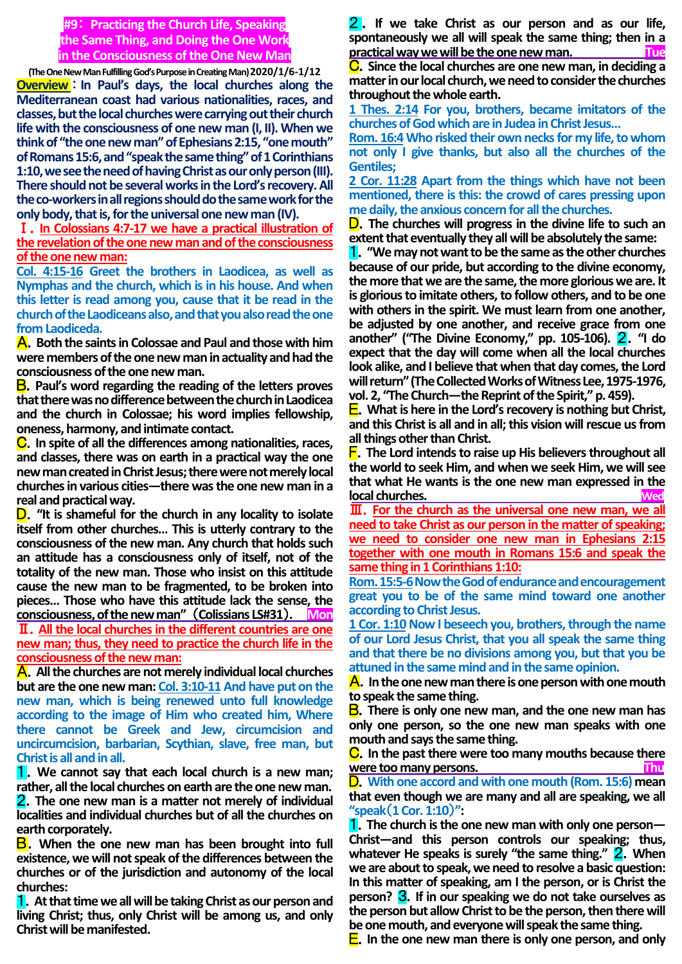**#9**: **Practicing the Church Life, Speaking the Same Thing, and Doing the One Work in the Consciousness of the One New Man**

**(The One New Man Fulfilling God's Purpose in Creating Man) 2020/1/6-1/12 Overview** : **In Paul's days, the local churches along the Mediterranean coast had various nationalities, races, and classes, but the local churches were carrying out their church life with the consciousness of one new man (I, II). When we think of "the one new man" of Ephesians 2:15, "one mouth" of Romans 15:6, and "speak the same thing" of 1 Corinthians 1:10, we see the need of having Christ as our only person (III). There should not be several works in the Lord's recovery. All the co-workers in all regions should do the same work for the only body, that is, for the universal one new man (IV).**

Ⅰ.**In Colossians 4:7-17 we have a practical illustration of the revelation of the one new man and of the consciousness of the one new man:**

**Col. 4:15-16 Greet the brothers in Laodicea, as well as Nymphas and the church, which is in his house. And when this letter is read among you, cause that it be read in the church of the Laodiceans also, and that you also read the one from Laodiceda.**

A.**Both the saints in Colossae and Paul and those with him were members of the one new man in actuality and had the consciousness of the one new man.**

B.**Paul's word regarding the reading of the letters proves that there was no difference between the church in Laodicea and the church in Colossae; his word implies fellowship, oneness, harmony, and intimate contact.**

C.**In spite of all the differences among nationalities, races, and classes, there was on earth in a practical way the one new man created in Christ Jesus; therewere not merely local churches in various cities—there was the one new man in a real and practical way.**

D.**"It is shameful for the church in any locality to isolate itself from other churches… This is utterly contrary to the consciousness of the new man. Any church that holds such an attitude has a consciousness only of itself, not of the totality of the new man. Those who insist on this attitude cause the new man to be fragmented, to be broken into pieces… Those who have this attitude lack the sense, the consciousness, of the new man"** (**Colissians LS#31**)**. Mon** Ⅱ.**All the local churches in the different countries are one new man; thus, they need to practice the church life in the consciousness of the new man:**

A.**All the churches are not merely individual local churches but are the one new man: Col. 3:10-11And have put on the new man, which is being renewed unto full knowledge according to the image of Him who created him, Where there cannot be Greek and Jew, circumcision and uncircumcision, barbarian, Scythian, slave, free man, but Christ is all and in all.**

1.**We cannot say that each local church is a new man; rather, all the local churches on earth are the one new man.** 2.**The one new man is a matter not merely of individual localities and individual churches but of all the churches on earth corporately.**

B.**When the one new man has been brought into full existence, we will not speak of the differences between the churches or of the jurisdiction and autonomy of the local churches:**

1.**At that time we all will be taking Christ as our person and living Christ; thus, only Christ will be among us, and only Christ will be manifested.**

2 . **If we take Christ as our person and as our life, spontaneously we all will speak the same thing; then in a practical way we will be the one new man. Tue**

C.**Since the local churches are one new man, in deciding a matter in our local church, we need to consider the churches throughout the whole earth.**

**1 Thes. 2:14 For you, brothers, became imitators of the churches of God which are in Judea in Christ Jesus…**

**Rom. 16:4Who risked their own necks for my life, to whom not only I give thanks, but also all the churches of the Gentiles;**

**2 Cor. 11:28 Apart from the things which have not been mentioned, there is this: the crowd of cares pressing upon me daily, the anxious concern for all the churches.**

D.**The churches will progress in the divine life to such an extent that eventually they all will be absolutely the same:**

1.**"We may not want to be the same as the other churches because of our pride, but according to the divine economy, the more that we are the same, the more glorious we are. It is glorious to imitate others, to follow others, and to be one with others in the spirit. We must learn from one another, be adjusted by one another, and receive grace from one another" ("The Divine Economy," pp. 105-106).** 2.**"I do expect that the day will come when all the local churches look alike, and I believe that when that day comes, the Lord will return" (The Collected Works of Witness Lee,1975-1976, vol. 2, "The Church—the Reprint of the Spirit," p. 459).** 

E.**What is here in the Lord's recovery is nothing but Christ, and this Christ is all and in all; this vision will rescue us from all things other than Christ.**

F.**The Lord intends to raise up His believers throughout all the world to seek Him, and when we seek Him, we will see that what He wants is the one new man expressed in the local churches. Wed**

Ⅲ.**For the church as the universal one new man, we all need to take Christ as our person in the matter of speaking; we need to consider one new man in Ephesians 2:15 together with one mouth in Romans 15:6 and speak the same thing in 1 Corinthians 1:10:**

**Rom. 15:5-6Now the God of endurance and encouragement great you to be of the same mind toward one another according to Christ Jesus.**

**1 Cor. 1:10 Now I beseech you, brothers, through the name of our Lord Jesus Christ, that you all speak the same thing and that there be no divisions among you, but that you be attuned in the same mind and in the same opinion.**

A.**In the one new man there is one person with one mouth to speak the same thing.**

B.**There is only one new man, and the one new man has only one person, so the one new man speaks with one mouth and says the same thing.**

C.**In the past there were too many mouths because there were too many persons.** 

D.**With one accord and with one mouth (Rom. 15:6) mean that even though we are many and all are speaking, we all "speak**(**1 Cor. 1:10**)**":**

1.**The church is the one new man with only one person— Christ—and this person controls our speaking; thus,**  whatever He speaks is surely "the same thing." **2**. When **we are about to speak, we need to resolve a basic question: In this matter of speaking, am I the person, or is Christ the person?** 3.**If in our speaking we do not take ourselves as the person but allow Christ to be the person, then there will be one mouth, and everyone will speak the same thing.**

E.**In the one new man there is only one person, and only**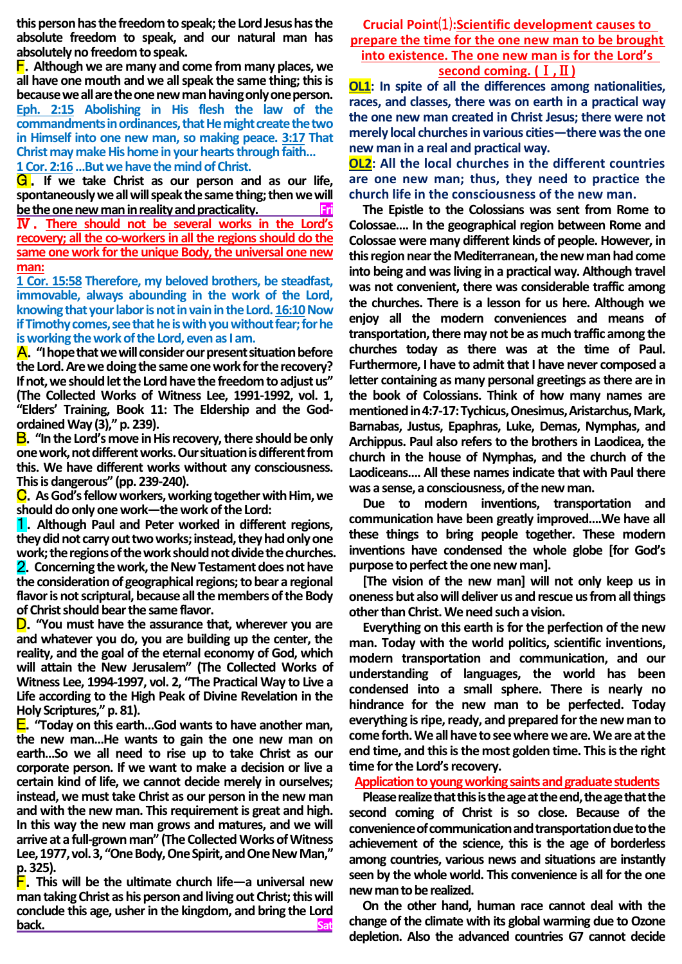**this person has the freedom to speak; the Lord Jesus has the absolute freedom to speak, and our natural man has absolutely no freedom to speak.**

F.**Although we are many and come from many places, we all have one mouth and we all speak the same thing; this is becausewe all are the one new man having only one person. Eph. 2:15 Abolishing in His flesh the law of the commandments in ordinances, that He might create the two in Himself into one new man, so making peace. 3:17 That Christ may make His home in your hearts through faith… 1 Cor. 2:16…But we have the mind of Christ.**

**G**. If we take Christ as our person and as our life, **spontaneously we all will speak the same thing; then we will** 

**be the one new man in reality and practicality.** Ⅳ . **There should not be several works in the Lord's recovery; all the co-workers in all the regions should do the same one work for the unique Body, the universal one new man:**

**1 Cor. 15:58 Therefore, my beloved brothers, be steadfast, immovable, always abounding in the work of the Lord, knowing that your labor is not in vain in the Lord. 16:10 Now if Timothy comes, see that he is with you without fear; for he is working the work of the Lord, even as I am.**

A.**"I hope that we will consider our present situation before the Lord. Are we doing the same one work for the recovery? If not, we should let the Lord have the freedom to adjust us" (The Collected Works of Witness Lee, 1991-1992, vol. 1, "Elders' Training, Book 11: The Eldership and the Godordained Way (3)," p. 239).**

B.**"In the Lord's move in His recovery, there should be only one work, not different works. Our situation is different from this. We have different works without any consciousness. This is dangerous" (pp. 239-240).**

C.**As God's fellow workers, working together with Him, we should do only one work—the work of the Lord:**

1.**Although Paul and Peter worked in different regions, they did not carry out two works; instead, they had only one work; the regions of the work should not divide the churches.** 2.**Concerning the work, the New Testament does not have the consideration of geographical regions; to bear a regional flavor is not scriptural, because all the members of the Body of Christ should bear the same flavor.**

D.**"You must have the assurance that, wherever you are and whatever you do, you are building up the center, the reality, and the goal of the eternal economy of God, which will attain the New Jerusalem" (The Collected Works of Witness Lee, 1994-1997, vol. 2, "The Practical Way to Live a Life according to the High Peak of Divine Revelation in the Holy Scriptures," p. 81).**

E.**"Today on this earth…God wants to have another man, the new man…He wants to gain the one new man on earth…So we all need to rise up to take Christ as our corporate person. If we want to make a decision or live a certain kind of life, we cannot decide merely in ourselves; instead, we must take Christ as our person in the new man and with the new man. This requirement is great and high. In this way the new man grows and matures, and we will arrive at a full-grown man" (The Collected Works of Witness Lee, 1977, vol. 3, "One Body, One Spirit, and One New Man," p. 325).**

F.**This will be the ultimate church life—a universal new man taking Christ as his person and living out Christ; this will conclude this age, usher in the kingdom, and bring the Lord back. Satisfact Science of American Satisfact Satisfact Satisfact Satisfact Satisfact Satisfact Satisfact Satisfact Satisfact Satisfact Satisfact Satisfact Satisfact Satisfact Satisfact Satisfact Satisfact Satisfact Sat** 

**Crucial Point**⑴**:Scientific development causes to prepare the time for the one new man to be brought into existence. The one new man is for the Lord's** 

**second coming. (**Ⅰ**,**Ⅱ**)**

**OL1: In spite of all the differences among nationalities, races, and classes, there was on earth in a practical way the one new man created in Christ Jesus; there were not merely local churches in various cities—there was the one new man in a real and practical way.**

**OL2: All the local churches in the different countries are one new man; thus, they need to practice the church life in the consciousness of the new man.**

**The Epistle to the Colossians was sent from Rome to Colossae…. In the geographical region between Rome and Colossae were many different kinds of people. However, in this region near the Mediterranean, the new man had come into being and was living in a practical way. Although travel was not convenient, there was considerable traffic among the churches. There is a lesson for us here. Although we enjoy all the modern conveniences and means of transportation, there may not be as much traffic among the churches today as there was at the time of Paul. Furthermore, I have to admit that I have never composed a letter containing as many personal greetings as there are in the book of Colossians. Think of how many names are mentioned in 4:7-17: Tychicus, Onesimus, Aristarchus, Mark, Barnabas, Justus, Epaphras, Luke, Demas, Nymphas, and Archippus. Paul also refers to the brothers in Laodicea, the church in the house of Nymphas, and the church of the Laodiceans…. All these names indicate that with Paul there was a sense, a consciousness, of the new man.**

**Due to modern inventions, transportation and communication have been greatly improved….We have all these things to bring people together. These modern inventions have condensed the whole globe [for God's purpose to perfect the one new man].**

**[The vision of the new man] will not only keep us in oneness but also will deliver us and rescue us from all things other than Christ. We need such a vision.**

**Everything on this earth is for the perfection of the new man. Today with the world politics, scientific inventions, modern transportation and communication, and our understanding of languages, the world has been condensed into a small sphere. There is nearly no hindrance for the new man to be perfected. Today everything is ripe, ready, and prepared for the new man to come forth. We all have to see where we are. We are at the end time, and this is the most golden time. This is the right time for the Lord's recovery.**

**Application to young working saints and graduate students**

**Please realize that this is the age at the end, the age that the second coming of Christ is so close. Because of the convenience of communication and transportation due to the achievement of the science, this is the age of borderless among countries, various news and situations are instantly seen by the whole world. This convenience is all for the one new man to be realized.** 

**On the other hand, human race cannot deal with the change of the climate with its global warming due to Ozone depletion. Also the advanced countries G7 cannot decide**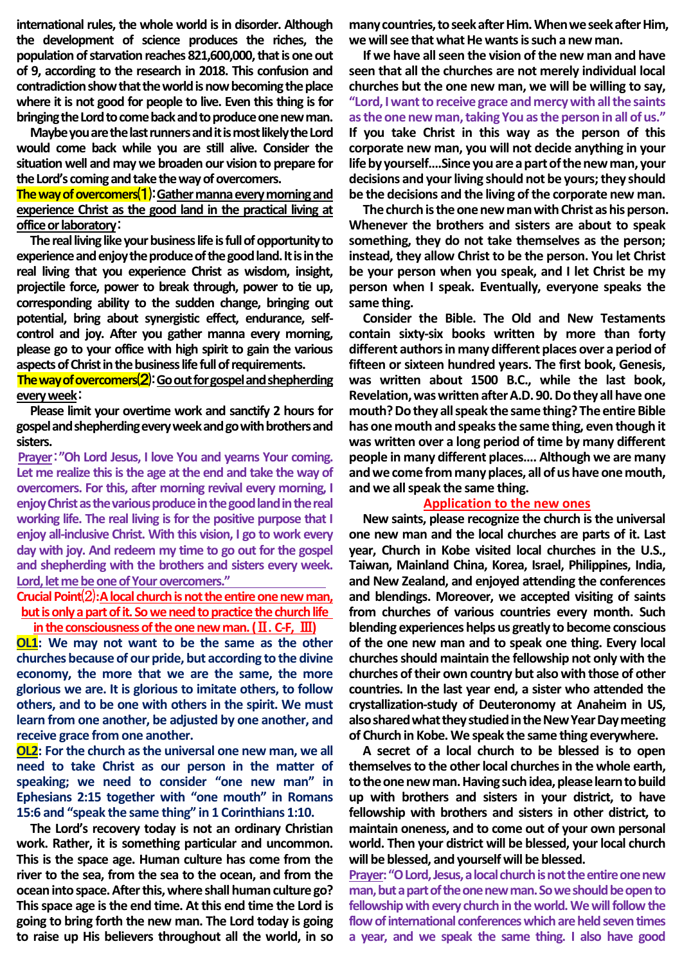**international rules, the whole world is in disorder. Although the development of science produces the riches, the population of starvation reaches 821,600,000, that is one out of 9, according to the research in 2018. This confusion and contradiction show that the world is now becoming the place where it is not good for people to live. Even this thing is for bringing the Lord to come back and to produce one new man.**

**Maybe you are the last runners and it is most likely the Lord would come back while you are still alive. Consider the situation well and may we broaden our vision to prepare for the Lord's coming and take the way of overcomers.**

## **The way of overcomers**⑴:**Gather manna every morning and experience Christ as the good land in the practical living at office or laboratory**:

**The real living like your business life is full of opportunity to experience and enjoy the produce of the good land. It is in the real living that you experience Christ as wisdom, insight, projectile force, power to break through, power to tie up, corresponding ability to the sudden change, bringing out potential, bring about synergistic effect, endurance, selfcontrol and joy. After you gather manna every morning, please go to your office with high spirit to gain the various aspects of Christ in the business life full of requirements.**

### **The way of overcomers**⑵:**Go out for gospel and shepherding every week**:

**Please limit your overtime work and sanctify 2 hours for gospel and shepherding every week and go with brothers and sisters.**

**Prayer**:**"Oh Lord Jesus, I love You and yearns Your coming. Let me realize this is the age at the end and take the way of overcomers. For this, after morning revival every morning, I enjoy Christ as the various produce in the good land in the real working life. The real living is for the positive purpose that I enjoy all-inclusive Christ. With this vision, I go to work every day with joy. And redeem my time to go out for the gospel and shepherding with the brothers and sisters every week. Lord, let me be one of Your overcomers."**

## Crucial Point<sup>(2)</sup>: A local church is not the entire one new man, but is only a part of it. So we need to practice the church life **in the consciousness of the one new man. (**Ⅱ.**C-F,** Ⅲ**)**

**OL1: We may not want to be the same as the other churches because of our pride, but according to the divine economy, the more that we are the same, the more glorious we are. It is glorious to imitate others, to follow others, and to be one with others in the spirit. We must learn from one another, be adjusted by one another, and receive grace from one another.**

**OL2: For the church as the universal one new man, we all need to take Christ as our person in the matter of speaking; we need to consider "one new man" in Ephesians 2:15 together with "one mouth" in Romans 15:6 and "speak the same thing" in 1 Corinthians 1:10.**

**The Lord's recovery today is not an ordinary Christian work. Rather, it is something particular and uncommon. This is the space age. Human culture has come from the river to the sea, from the sea to the ocean, and from the oceaninto space. After this, where shall human culture go? This space age is the end time. At this end time the Lord is going to bring forth the new man. The Lord today is going to raise up His believers throughout all the world, in so** 

**many countries, to seek after Him. When we seek after Him, we will see that what He wants is such a new man.**

**If we have all seen the vision of the new man and have seen that all the churches are not merely individual local churches but the one new man, we will be willing to say, "Lord, I want to receive grace and mercy with all the saints as the one new man, taking You as the person in all of us." If you take Christ in this way as the person of this corporate new man, you will not decide anything in your life by yourself….Since you are a part of the new man, your decisions and your living should not be yours; they should be the decisions and the living of the corporate new man.**

**The church is the one new man with Christ as his person. Whenever the brothers and sisters are about to speak something, they do not take themselves as the person; instead, they allow Christ to be the person. You let Christ be your person when you speak, and I let Christ be my person when I speak. Eventually, everyone speaks the same thing.**

**Consider the Bible. The Old and New Testaments contain sixty-six books written by more than forty different authors in many different places over a period of fifteen or sixteen hundred years. The first book, Genesis, was written about 1500 B.C., while the last book, Revelation, was written after A.D. 90. Do they all have one mouth? Do they all speak the same thing? The entire Bible has one mouth and speaks the same thing, even though it was written over a long period of time by many different people in many different places…. Although we are many and we come from many places, all of us have one mouth, and we all speak the same thing.**

#### **Application to the new ones**

**New saints, please recognize the church is the universal one new man and the local churches are parts of it. Last year, Church in Kobe visited local churches in the U.S., Taiwan, Mainland China, Korea, Israel, Philippines, India, and New Zealand, and enjoyed attending the conferences and blendings. Moreover, we accepted visiting of saints from churches of various countries every month. Such blending experiences helps us greatly to become conscious of the one new man and to speak one thing. Every local churches should maintain the fellowship not only with the churches of their own country but also with those of other countries. In the last year end, a sister who attended the crystallization-study of Deuteronomy at Anaheim in US, also shared what they studied in the New Year Day meeting of Church in Kobe.We speak the same thing everywhere.** 

**A secret of a local church to be blessed is to open themselves to the other local churches in the whole earth, to the one new man. Having such idea, please learn to build up with brothers and sisters in your district, to have fellowship with brothers and sisters in other district, to maintain oneness, and to come out of your own personal world. Then your district will be blessed, your local church will be blessed, and yourself will be blessed.**

**Prayer: "O Lord, Jesus, a local church is not the entire one new man, but a part of the one new man. So we should be open to fellowship with every church in the world. We will follow the flow of international conferences which are held seven times a year, and we speak the same thing. I also have good**